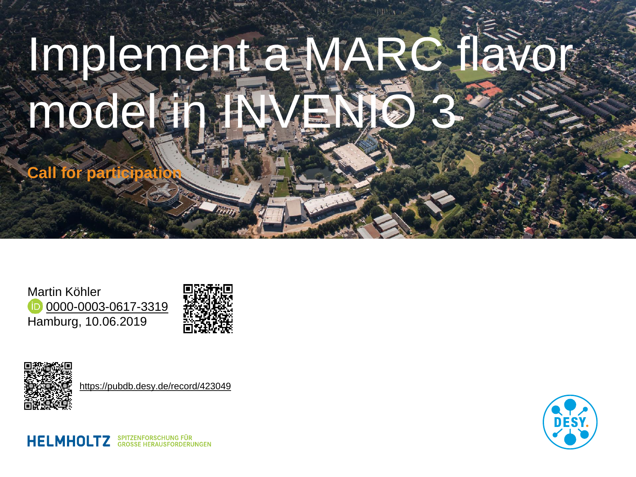## Implement a MARC flavor model in

**Call for participa** 

Martin Köhler [0000-0003-0617-3319](http://www.orcid.org/0000-0003-0617-3319) Hamburg, 10.06.2019





<https://pubdb.desy.de/record/423049>

**HELMHOLTZ** SPITZENFORSCHUNG FÜR

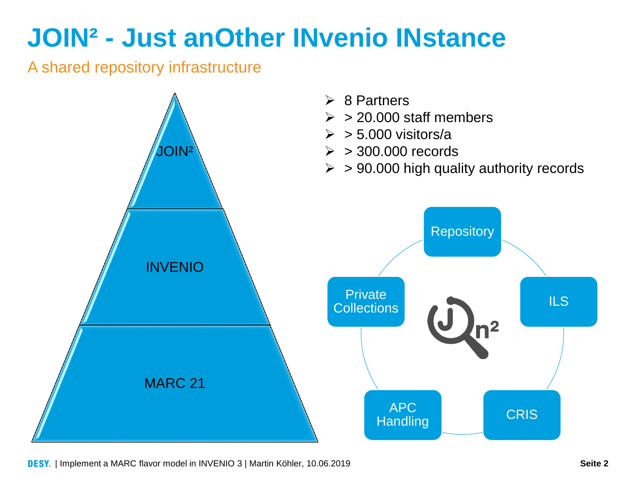## **JOIN² - Just anOther INvenio INstance**

#### A shared repository infrastructure



DESY. | Implement a MARC flavor model in INVENIO 3 | Martin Köhler, 10.06.2019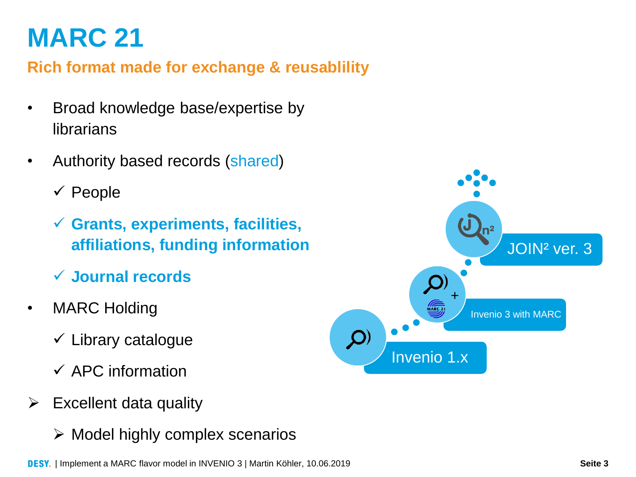## **MARC 21**

**Rich format made for exchange & reusablility**

- Broad knowledge base/expertise by librarians
- Authority based records (shared)
	- $\checkmark$  People
	- **Grants, experiments, facilities, affiliations, funding information**
	- **Journal records**
- MARC Holding
	- $\checkmark$  Library catalogue
	- $\checkmark$  APC information
- $\triangleright$  Excellent data quality
	- $\triangleright$  Model highly complex scenarios

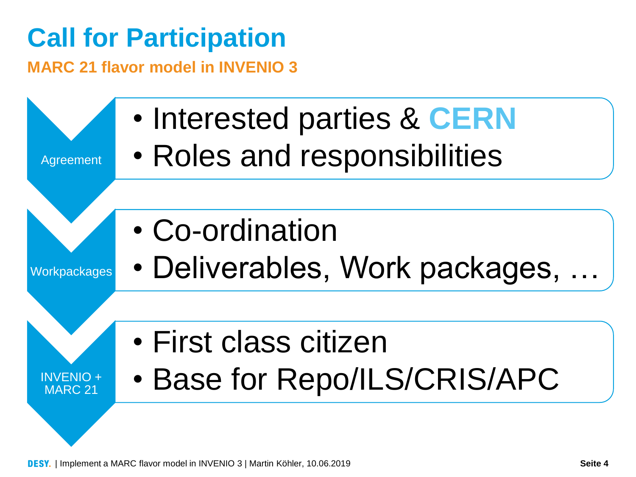## **Call for Participation**

**MARC 21 flavor model in INVENIO 3**

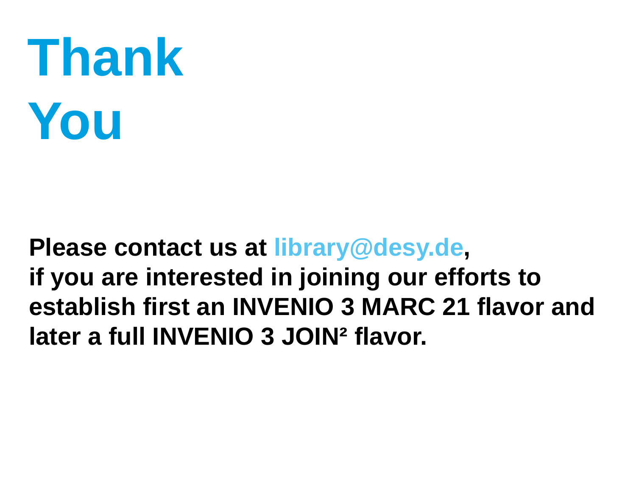# **Thank You**

#### **Please contact us at library@desy.de, if you are interested in joining our efforts to establish first an INVENIO 3 MARC 21 flavor and later a full INVENIO 3 JOIN² flavor.**